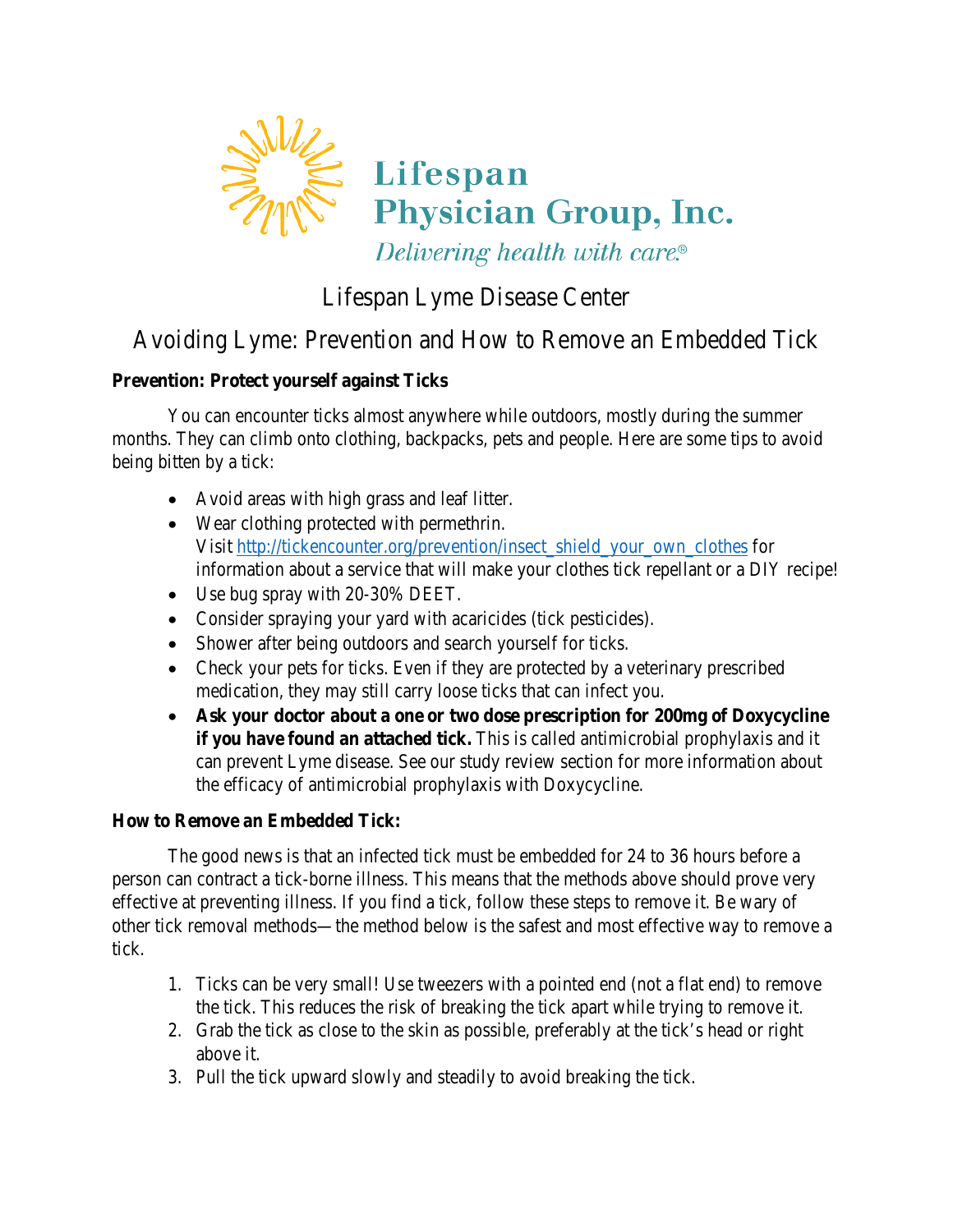

## Lifespan Lyme Disease Center

# Avoiding Lyme: Prevention and How to Remove an Embedded Tick

## **Prevention: Protect yourself against Ticks**

You can encounter ticks almost anywhere while outdoors, mostly during the summer months. They can climb onto clothing, backpacks, pets and people. Here are some tips to avoid being bitten by a tick:

- Avoid areas with high grass and leaf litter.
- Wear clothing protected with permethrin. Visit [http://tickencounter.org/prevention/insect\\_shield\\_your\\_own\\_clothes](http://tickencounter.org/prevention/insect_shield_your_own_clothes) for information about a service that will make your clothes tick repellant or a DIY recipe!
- Use bug spray with 20-30% DEET.
- Consider spraying your yard with acaricides (tick pesticides).
- Shower after being outdoors and search yourself for ticks.
- Check your pets for ticks. Even if they are protected by a veterinary prescribed medication, they may still carry loose ticks that can infect you.
- **Ask your doctor about a one or two dose prescription for 200mg of Doxycycline if you have found an attached tick.** This is called antimicrobial prophylaxis and it can prevent Lyme disease. See our study review section for more information about the efficacy of antimicrobial prophylaxis with Doxycycline.

#### **How to Remove an Embedded Tick:**

The good news is that an infected tick must be embedded for 24 to 36 hours before a person can contract a tick-borne illness. This means that the methods above should prove very effective at preventing illness. If you find a tick, follow these steps to remove it. Be wary of other tick removal methods—the method below is the safest and most effective way to remove a tick.

- 1. Ticks can be very small! Use tweezers with a pointed end (not a flat end) to remove the tick. This reduces the risk of breaking the tick apart while trying to remove it.
- 2. Grab the tick as close to the skin as possible, preferably at the tick's head or right above it.
- 3. Pull the tick upward slowly and steadily to avoid breaking the tick.